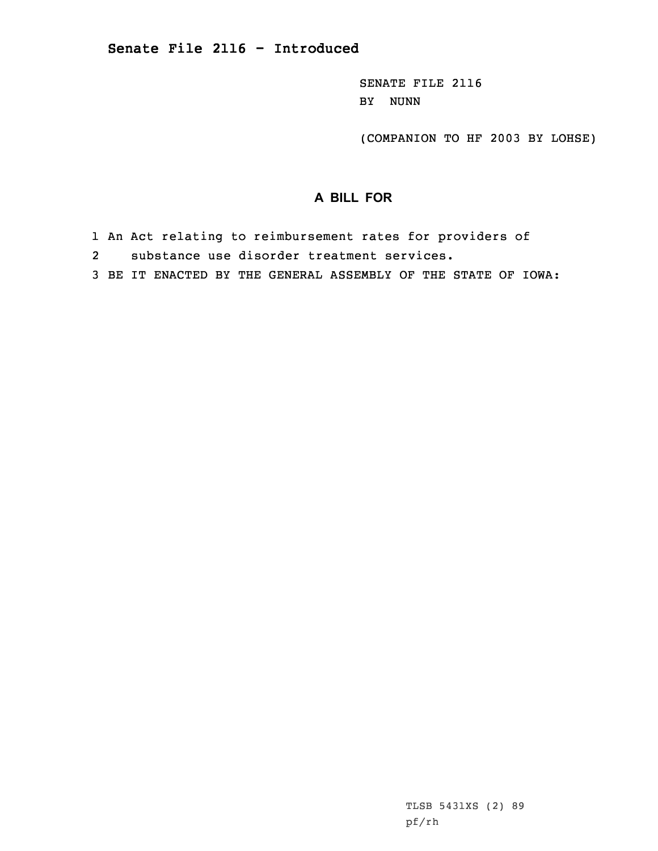SENATE FILE 2116 BY NUNN

(COMPANION TO HF 2003 BY LOHSE)

## **A BILL FOR**

- 1 An Act relating to reimbursement rates for providers of
- 2substance use disorder treatment services.
- 3 BE IT ENACTED BY THE GENERAL ASSEMBLY OF THE STATE OF IOWA: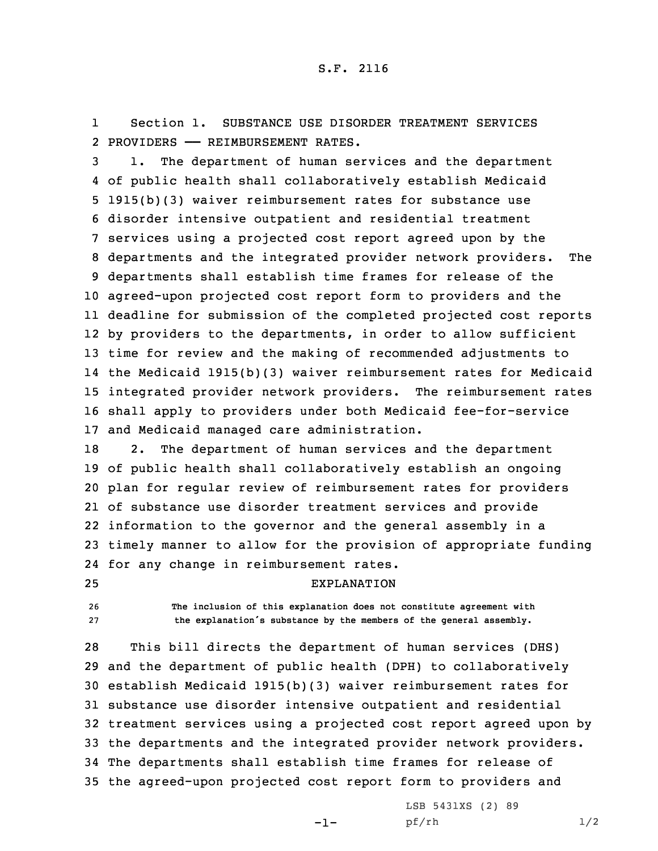1 Section 1. SUBSTANCE USE DISORDER TREATMENT SERVICES 2 PROVIDERS —— REIMBURSEMENT RATES.

 1. The department of human services and the department of public health shall collaboratively establish Medicaid 1915(b)(3) waiver reimbursement rates for substance use disorder intensive outpatient and residential treatment services using <sup>a</sup> projected cost report agreed upon by the departments and the integrated provider network providers. The departments shall establish time frames for release of the agreed-upon projected cost report form to providers and the deadline for submission of the completed projected cost reports by providers to the departments, in order to allow sufficient time for review and the making of recommended adjustments to the Medicaid 1915(b)(3) waiver reimbursement rates for Medicaid integrated provider network providers. The reimbursement rates shall apply to providers under both Medicaid fee-for-service and Medicaid managed care administration.

 2. The department of human services and the department of public health shall collaboratively establish an ongoing plan for regular review of reimbursement rates for providers of substance use disorder treatment services and provide information to the governor and the general assembly in <sup>a</sup> timely manner to allow for the provision of appropriate funding for any change in reimbursement rates.

25 EXPLANATION

26 **The inclusion of this explanation does not constitute agreement with** <sup>27</sup> **the explanation's substance by the members of the general assembly.**

 This bill directs the department of human services (DHS) and the department of public health (DPH) to collaboratively establish Medicaid 1915(b)(3) waiver reimbursement rates for substance use disorder intensive outpatient and residential treatment services using <sup>a</sup> projected cost report agreed upon by the departments and the integrated provider network providers. The departments shall establish time frames for release of the agreed-upon projected cost report form to providers and

-1-

LSB 5431XS (2) 89 pf/rh 1/2